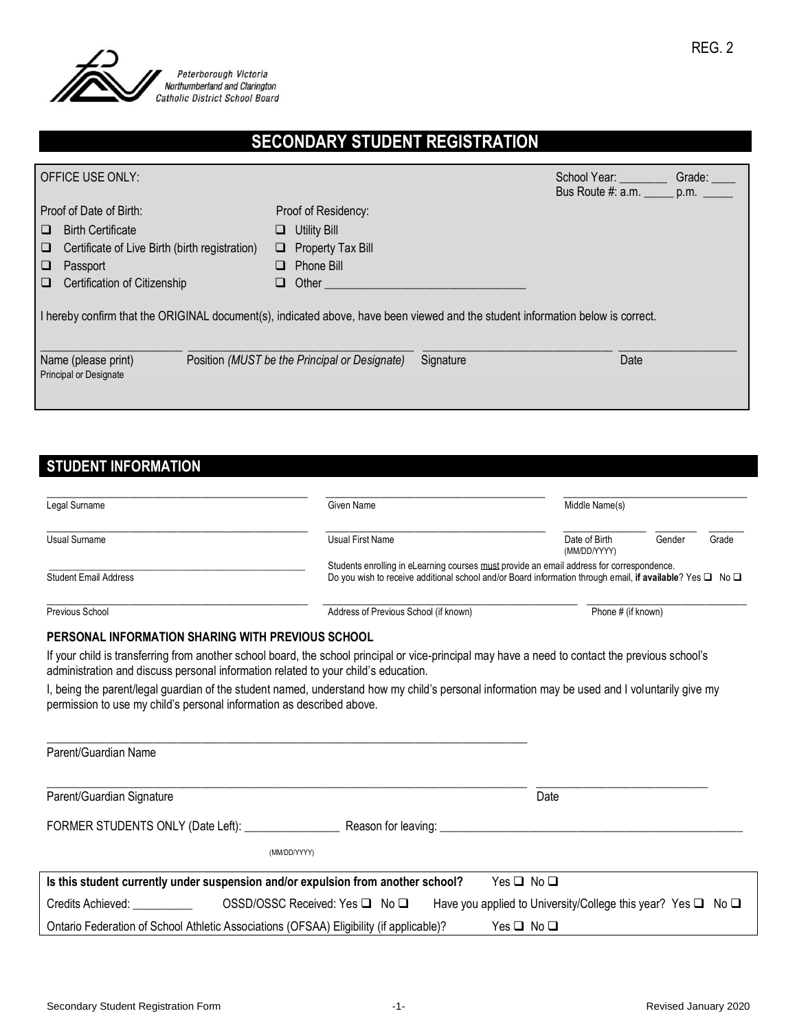

# **SECONDARY STUDENT REGISTRATION**

|                                                                                                                                 | OFFICE USE ONLY:                                     |                                                            | School Year:<br>Bus Route #: a.m. ______ p.m. ______ | Grade: ____ |  |  |  |
|---------------------------------------------------------------------------------------------------------------------------------|------------------------------------------------------|------------------------------------------------------------|------------------------------------------------------|-------------|--|--|--|
|                                                                                                                                 | Proof of Date of Birth:                              | Proof of Residency:                                        |                                                      |             |  |  |  |
| ⊔                                                                                                                               | <b>Birth Certificate</b>                             | $\Box$ Utility Bill                                        |                                                      |             |  |  |  |
| □                                                                                                                               | Certificate of Live Birth (birth registration)       | $\Box$ Property Tax Bill                                   |                                                      |             |  |  |  |
| ⊔                                                                                                                               | Passport                                             | $\Box$ Phone Bill                                          |                                                      |             |  |  |  |
| $\Box$                                                                                                                          | Certification of Citizenship                         | $\Box$ Other                                               |                                                      |             |  |  |  |
| I hereby confirm that the ORIGINAL document(s), indicated above, have been viewed and the student information below is correct. |                                                      |                                                            |                                                      |             |  |  |  |
|                                                                                                                                 | Name (please print)<br><b>Principal or Designate</b> | Position (MUST be the Principal or Designate)<br>Signature | Date                                                 |             |  |  |  |

## **STUDENT INFORMATION**

| Legal Surname                                                                                                                                                                                                                                   | Given Name                                                                                                                                                                                                                             | Middle Name(s)                |        |       |
|-------------------------------------------------------------------------------------------------------------------------------------------------------------------------------------------------------------------------------------------------|----------------------------------------------------------------------------------------------------------------------------------------------------------------------------------------------------------------------------------------|-------------------------------|--------|-------|
| Usual Surname                                                                                                                                                                                                                                   | Usual First Name                                                                                                                                                                                                                       | Date of Birth<br>(MM/DD/YYYY) | Gender | Grade |
| Students enrolling in eLearning courses must provide an email address for correspondence.<br>Do you wish to receive additional school and/or Board information through email, if available? Yes $\square$ No $\square$<br>Student Email Address |                                                                                                                                                                                                                                        |                               |        |       |
| Previous School                                                                                                                                                                                                                                 | Address of Previous School (if known)                                                                                                                                                                                                  | Phone # (if known)            |        |       |
| PERSONAL INFORMATION SHARING WITH PREVIOUS SCHOOL                                                                                                                                                                                               |                                                                                                                                                                                                                                        |                               |        |       |
|                                                                                                                                                                                                                                                 | If your child is transferring from another school board, the school principal or vice-principal may have a need to contact the previous school's<br>administration and discuss personal information related to your child's education. |                               |        |       |
|                                                                                                                                                                                                                                                 | the international constitution of the ethnical process of the constant process of the second left and information mention and controller all colored and the second second second second second second second second second se         |                               |        |       |

I, being the parent/legal guardian of the student named, understand how my child's personal information may be used and I voluntarily give my permission to use my child's personal information as described above.

| Parent/Guardian Name                                                                    |                                                                        |
|-----------------------------------------------------------------------------------------|------------------------------------------------------------------------|
| Parent/Guardian Signature                                                               | Date                                                                   |
| FORMER STUDENTS ONLY (Date Left): ____________                                          |                                                                        |
| (MM/DD/YYYY)                                                                            |                                                                        |
| Is this student currently under suspension and/or expulsion from another school?        | Yes ❏ No ❏                                                             |
| Credits Achieved: The Credits Achieved:<br>OSSD/OSSC Received: Yes $\Box$ No $\Box$     | Have you applied to University/College this year? Yes $\Box$ No $\Box$ |
| Ontario Federation of School Athletic Associations (OFSAA) Eligibility (if applicable)? | Yes □ No □                                                             |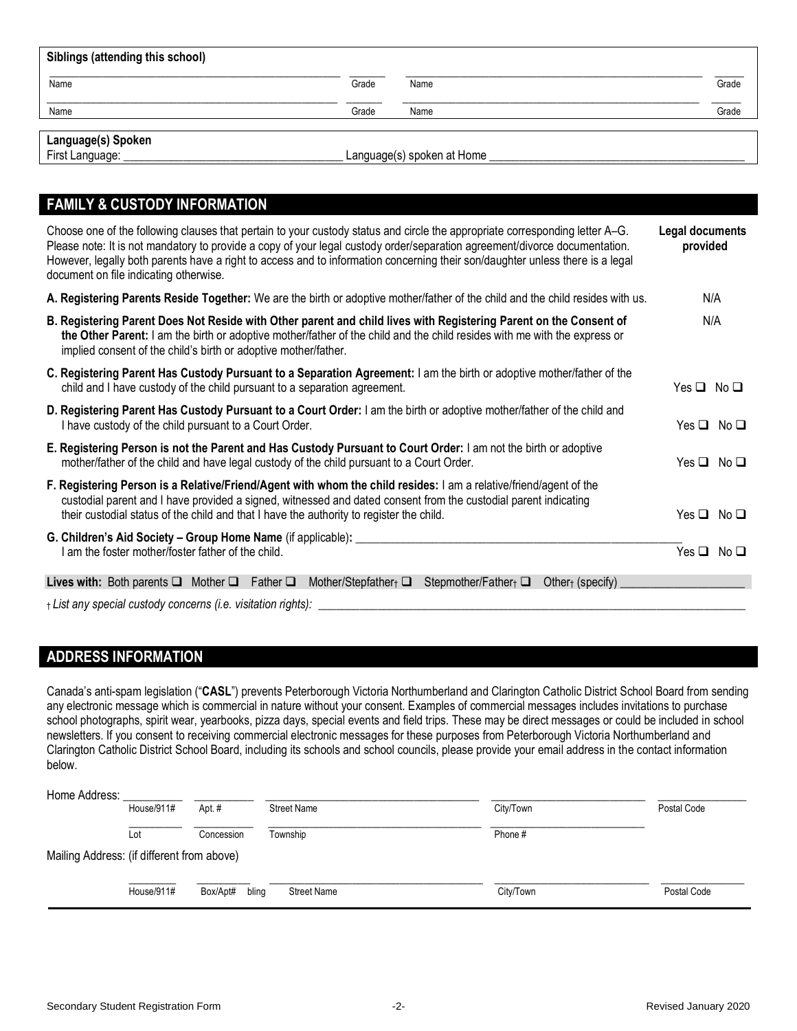| Siblings (attending this school) |       |      |       |  |  |  |
|----------------------------------|-------|------|-------|--|--|--|
| Name                             | Grade | Name | Grade |  |  |  |
| Name                             | Grade | Name | Grade |  |  |  |
| Language(s) Spoken               |       |      |       |  |  |  |

| Languag <del>c</del> (ə) opor |  |
|-------------------------------|--|
| Eirot Longuago:               |  |

First Language: \_\_\_\_\_\_\_\_\_\_\_\_\_\_\_\_\_\_\_\_\_\_\_\_\_\_\_\_\_\_\_\_\_\_\_\_\_ Language(s) spoken at Home \_\_\_\_\_\_\_\_\_\_\_\_\_\_\_\_\_\_\_\_\_\_\_\_\_\_\_\_\_\_\_\_\_\_\_\_\_\_\_\_\_\_\_

| <b>FAMILY &amp; CUSTODY INFORMATION</b>                                                                                                                                                                                                                                                                                                                                                                                               |                             |
|---------------------------------------------------------------------------------------------------------------------------------------------------------------------------------------------------------------------------------------------------------------------------------------------------------------------------------------------------------------------------------------------------------------------------------------|-----------------------------|
| Choose one of the following clauses that pertain to your custody status and circle the appropriate corresponding letter A-G.<br>Please note: It is not mandatory to provide a copy of your legal custody order/separation agreement/divorce documentation.<br>However, legally both parents have a right to access and to information concerning their son/daughter unless there is a legal<br>document on file indicating otherwise. | Legal documents<br>provided |
| A. Registering Parents Reside Together: We are the birth or adoptive mother/father of the child and the child resides with us.                                                                                                                                                                                                                                                                                                        | N/A                         |
| B. Registering Parent Does Not Reside with Other parent and child lives with Registering Parent on the Consent of<br>the Other Parent: I am the birth or adoptive mother/father of the child and the child resides with me with the express or<br>implied consent of the child's birth or adoptive mother/father.                                                                                                                     | N/A                         |
| C. Registering Parent Has Custody Pursuant to a Separation Agreement: I am the birth or adoptive mother/father of the<br>child and I have custody of the child pursuant to a separation agreement.                                                                                                                                                                                                                                    | $Yes \Box No \Box$          |
| D. Registering Parent Has Custody Pursuant to a Court Order: I am the birth or adoptive mother/father of the child and<br>I have custody of the child pursuant to a Court Order.                                                                                                                                                                                                                                                      | $Yes \Box No \Box$          |
| E. Registering Person is not the Parent and Has Custody Pursuant to Court Order: I am not the birth or adoptive<br>mother/father of the child and have legal custody of the child pursuant to a Court Order.                                                                                                                                                                                                                          | $Yes \Box No \Box$          |
| F. Registering Person is a Relative/Friend/Agent with whom the child resides: I am a relative/friend/agent of the<br>custodial parent and I have provided a signed, witnessed and dated consent from the custodial parent indicating<br>their custodial status of the child and that I have the authority to register the child.                                                                                                      | $Yes \Box No \Box$          |
| G. Children's Aid Society - Group Home Name (if applicable): _________<br>I am the foster mother/foster father of the child.                                                                                                                                                                                                                                                                                                          | $Yes \Box No \Box$          |
| <b>Lives with:</b> Both parents $\Box$ Mother $\Box$ Father $\Box$ Mother/Stepfather <sub>1</sub> $\Box$ Stepmother/Father <sub>1</sub> $\Box$<br>Other $\uparrow$ (specify)                                                                                                                                                                                                                                                          |                             |
| + List any special custody concerns (i.e. visitation rights):                                                                                                                                                                                                                                                                                                                                                                         |                             |

#### **ADDRESS INFORMATION**

Canada's anti-spam legislation ("**CASL**") prevents Peterborough Victoria Northumberland and Clarington Catholic District School Board from sending any electronic message which is commercial in nature without your consent. Examples of commercial messages includes invitations to purchase school photographs, spirit wear, yearbooks, pizza days, special events and field trips. These may be direct messages or could be included in school newsletters. If you consent to receiving commercial electronic messages for these purposes from Peterborough Victoria Northumberland and Clarington Catholic District School Board, including its schools and school councils, please provide your email address in the contact information below.

| Home Address:                              |            |                   |                    |           |             |
|--------------------------------------------|------------|-------------------|--------------------|-----------|-------------|
|                                            | House/911# | Apt.#             | <b>Street Name</b> | City/Town | Postal Code |
|                                            |            |                   |                    |           |             |
|                                            | Lot        | Concession        | Township           | Phone #   |             |
| Mailing Address: (if different from above) |            |                   |                    |           |             |
|                                            |            |                   |                    |           |             |
|                                            | House/911# | Box/Apt#<br>bling | <b>Street Name</b> | City/Town | Postal Code |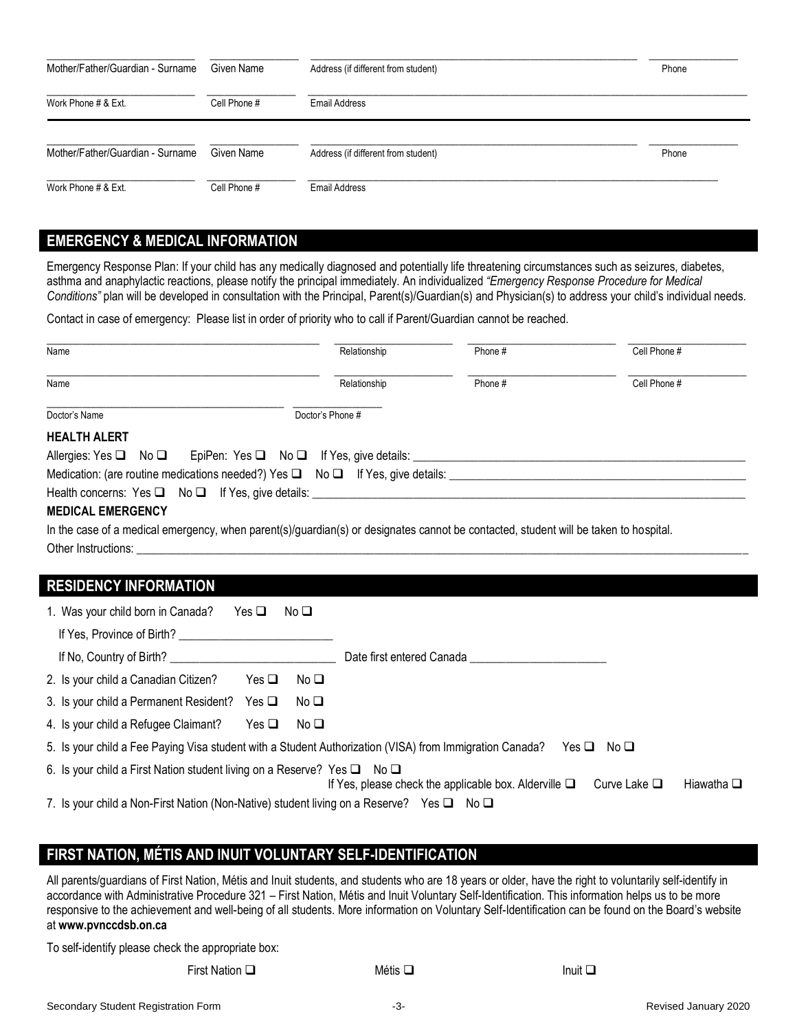| Mother/Father/Guardian - Surname | Given Name   | Address (if different from student) | Phone |
|----------------------------------|--------------|-------------------------------------|-------|
| Work Phone # & Ext.              | Cell Phone # | Email Address                       |       |
| Mother/Father/Guardian - Surname | Given Name   | Address (if different from student) | Phone |
| Work Phone # & Ext.              | Cell Phone # | <b>Email Address</b>                |       |

### **EMERGENCY & MEDICAL INFORMATION**

Emergency Response Plan: If your child has any medically diagnosed and potentially life threatening circumstances such as seizures, diabetes, asthma and anaphylactic reactions, please notify the principal immediately. An individualized *"Emergency Response Procedure for Medical* Conditions" plan will be developed in consultation with the Principal, Parent(s)/Guardian(s) and Physician(s) to address your child's individual needs.

Contact in case of emergency: Please list in order of priority who to call if Parent/Guardian cannot be reached.

| Name                                                                                                                                 | Relationship     | Phone # | Cell Phone # |
|--------------------------------------------------------------------------------------------------------------------------------------|------------------|---------|--------------|
| Name                                                                                                                                 | Relationship     | Phone#  | Cell Phone # |
| Doctor's Name                                                                                                                        | Doctor's Phone # |         |              |
| <b>HEALTH ALERT</b>                                                                                                                  |                  |         |              |
| Allergies: Yes $\Box$ No $\Box$ EpiPen: Yes $\Box$ No $\Box$ If Yes, give details:                                                   |                  |         |              |
| Medication: (are routine medications needed?) Yes $\Box$ No $\Box$ If Yes, give details:                                             |                  |         |              |
| Health concerns: Yes □ No □ If Yes, give details: ______________________________                                                     |                  |         |              |
| <b>MEDICAL EMERGENCY</b>                                                                                                             |                  |         |              |
| In the case of a medical emergency, when parent(s)/guardian(s) or designates cannot be contacted, student will be taken to hospital. |                  |         |              |

Other Instructions:

#### **RESIDENCY INFORMATION**

| 1. Was your child born in Canada?                                                        | Yes $\Box$<br>No <b>❑</b>        |                                                                                                                               |
|------------------------------------------------------------------------------------------|----------------------------------|-------------------------------------------------------------------------------------------------------------------------------|
| If Yes, Province of Birth?                                                               |                                  |                                                                                                                               |
|                                                                                          |                                  | Date first entered Canada                                                                                                     |
| 2. Is your child a Canadian Citizen?                                                     | Yes $\Box$<br>No <sub>1</sub>    |                                                                                                                               |
| 3. Is your child a Permanent Resident?                                                   | Yes $\square$<br>No <sub>1</sub> |                                                                                                                               |
| 4. Is your child a Refugee Claimant?                                                     | Yes <b>□</b><br>No <b>□</b>      |                                                                                                                               |
|                                                                                          |                                  | 5. Is your child a Fee Paying Visa student with a Student Authorization (VISA) from Immigration Canada?<br>$Yes \Box No \Box$ |
| 6. Is your child a First Nation student living on a Reserve? Yes $\Box$ No $\Box$        |                                  | If Yes, please check the applicable box. Alderville $\Box$<br>Curve Lake $\square$<br>Hiawatha $\square$                      |
| 7. Is your child a Non-First Nation (Non-Native) student living on a Reserve? Yes □ No □ |                                  |                                                                                                                               |

### **FIRST NATION, MÉTIS AND INUIT VOLUNTARY SELF-IDENTIFICATION**

All parents/guardians of First Nation, Métis and Inuit students, and students who are 18 years or older, have the right to voluntarily self-identify in accordance with Administrative Procedure 321 – First Nation, Métis and Inuit Voluntary Self-Identification. This information helps us to be more responsive to the achievement and well-being of all students. More information on Voluntary Self-Identification can be found on the Board's website at **www.pvnccdsb.on.ca**

To self-identify please check the appropriate box:

First Nation □ **Inuit □** Inuit □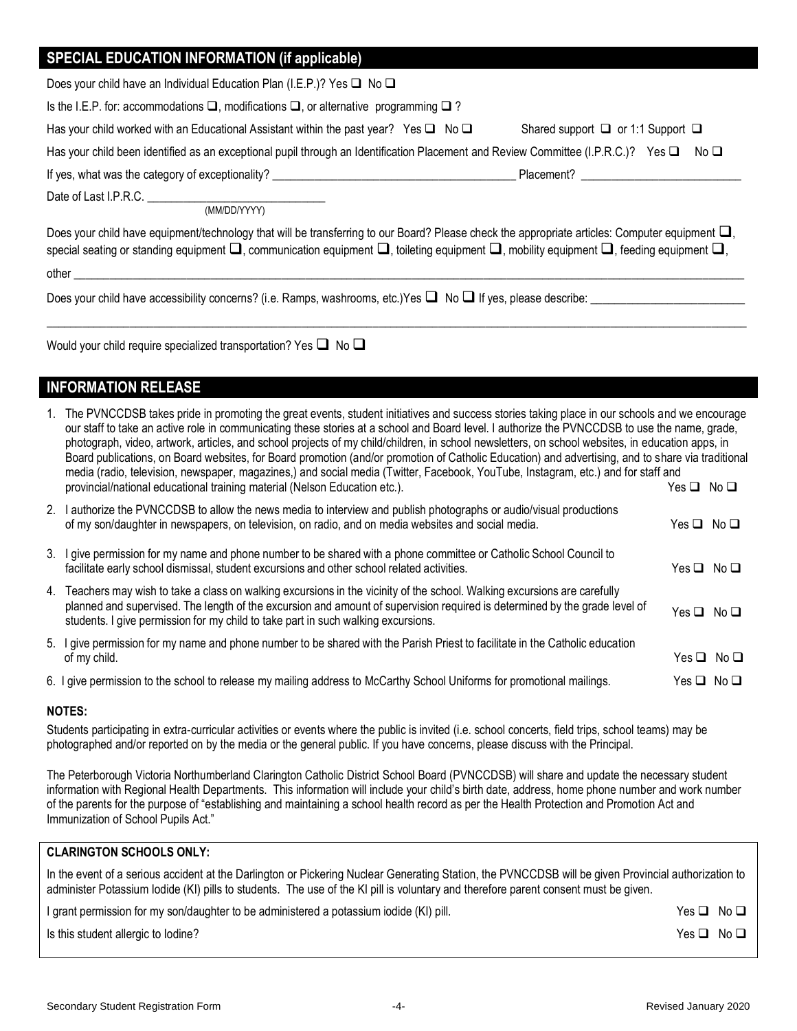### **SPECIAL EDUCATION INFORMATION (if applicable)**

|  | Does your child have an Individual Education Plan (I.E.P.)? Yes $\square$ No $\square$ |  |  |
|--|----------------------------------------------------------------------------------------|--|--|
|  |                                                                                        |  |  |
|  |                                                                                        |  |  |

Is the I.E.P. for: accommodations ❑, modifications ❑, or alternative programming ❑ ?

| Has your child worked with an Educational Assistant within the past year? Yes $\square$ No $\square$ |  | Shared support $\Box$ or 1:1 Support $\Box$ |
|------------------------------------------------------------------------------------------------------|--|---------------------------------------------|
|------------------------------------------------------------------------------------------------------|--|---------------------------------------------|

Has your child been identified as an exceptional pupil through an Identification Placement and Review Committee (I.P.R.C.)? Yes □ No □

If yes, what was the category of exceptionality? \_\_\_\_\_\_\_\_\_\_\_\_\_\_\_\_\_\_\_\_\_\_\_\_\_\_\_\_\_\_\_\_\_\_\_\_\_\_\_\_\_ Placement? \_\_\_\_\_\_\_\_\_\_\_\_\_\_\_\_\_\_\_\_\_\_\_\_\_\_\_

Date of Last I.P.R.C. \_\_\_\_\_\_\_\_\_\_

(MM/DD/YYYY)

Does your child have equipment/technology that will be transferring to our Board? Please check the appropriate articles: Computer equipment □, special seating or standing equipment  $\square$ , communication equipment  $\square$ , toileting equipment  $\square$ , mobility equipment  $\square$ , feeding equipment  $\square$ , other \_\_\_\_\_\_\_\_\_\_\_\_\_\_\_\_\_\_\_\_\_\_\_\_\_\_\_\_\_\_\_\_\_\_\_\_\_\_\_\_\_\_\_\_\_\_\_\_\_\_\_\_\_\_\_\_\_\_\_\_\_\_\_\_\_\_\_\_\_\_\_\_\_\_\_\_\_\_\_\_\_\_\_\_\_\_\_\_\_\_\_\_\_\_\_\_\_\_\_\_\_\_\_\_\_\_\_\_\_\_\_\_\_

 $\Box$ 

Does your child have accessibility concerns? (i.e. Ramps, washrooms, etc.)Yes  $\square$  No  $\square$  If yes, please describe:

Would your child require specialized transportation? Yes □ No □

### **INFORMATION RELEASE**

| 1. The PVNCCDSB takes pride in promoting the great events, student initiatives and success stories taking place in our schools and we encourage   |                    |  |
|---------------------------------------------------------------------------------------------------------------------------------------------------|--------------------|--|
| our staff to take an active role in communicating these stories at a school and Board level. I authorize the PVNCCDSB to use the name, grade,     |                    |  |
| photograph, video, artwork, articles, and school projects of my child/children, in school newsletters, on school websites, in education apps, in  |                    |  |
| Board publications, on Board websites, for Board promotion (and/or promotion of Catholic Education) and advertising, and to share via traditional |                    |  |
| media (radio, television, newspaper, magazines,) and social media (Twitter, Facebook, YouTube, Instagram, etc.) and for staff and                 |                    |  |
| provincial/national educational training material (Nelson Education etc.).                                                                        | $Yes \Box No \Box$ |  |
|                                                                                                                                                   |                    |  |

| 2. I authorize the PVNCCDSB to allow the news media to interview and publish photographs or audio/visual productions<br>of my son/daughter in newspapers, on television, on radio, and on media websites and social media.                                                                                                                    | Yes □ No □         |     |
|-----------------------------------------------------------------------------------------------------------------------------------------------------------------------------------------------------------------------------------------------------------------------------------------------------------------------------------------------|--------------------|-----|
| 3. I give permission for my name and phone number to be shared with a phone committee or Catholic School Council to<br>facilitate early school dismissal, student excursions and other school related activities.                                                                                                                             | Yes □ No □         |     |
| 4. Teachers may wish to take a class on walking excursions in the vicinity of the school. Walking excursions are carefully<br>planned and supervised. The length of the excursion and amount of supervision required is determined by the grade level of<br>students. I give permission for my child to take part in such walking excursions. | $Yes \Box No \Box$ |     |
| 5. I give permission for my name and phone number to be shared with the Parish Priest to facilitate in the Catholic education<br>of my child.                                                                                                                                                                                                 | Yes ⊔              | No□ |

6. I give permission to the school to release my mailing address to McCarthy School Uniforms for promotional mailings. Yes □ No □

#### **NOTES:**

Students participating in extra-curricular activities or events where the public is invited (i.e. school concerts, field trips, school teams) may be photographed and/or reported on by the media or the general public. If you have concerns, please discuss with the Principal.

The Peterborough Victoria Northumberland Clarington Catholic District School Board (PVNCCDSB) will share and update the necessary student information with Regional Health Departments. This information will include your child's birth date, address, home phone number and work number of the parents for the purpose of "establishing and maintaining a school health record as per the Health Protection and Promotion Act and Immunization of School Pupils Act."

#### **CLARINGTON SCHOOLS ONLY:**

| In the event of a serious accident at the Darlington or Pickering Nuclear Generating Station, the PVNCCDSB will be given Provincial authorization to |
|------------------------------------------------------------------------------------------------------------------------------------------------------|
| administer Potassium lodide (KI) pills to students. The use of the KI pill is voluntary and therefore parent consent must be given.                  |

I grant permission for my son/daughter to be administered a potassium iodide (KI) pill. Yes △ No △ △ No △ △ No △

Is this student allergic to Iodine? Yes ❑ No ❑